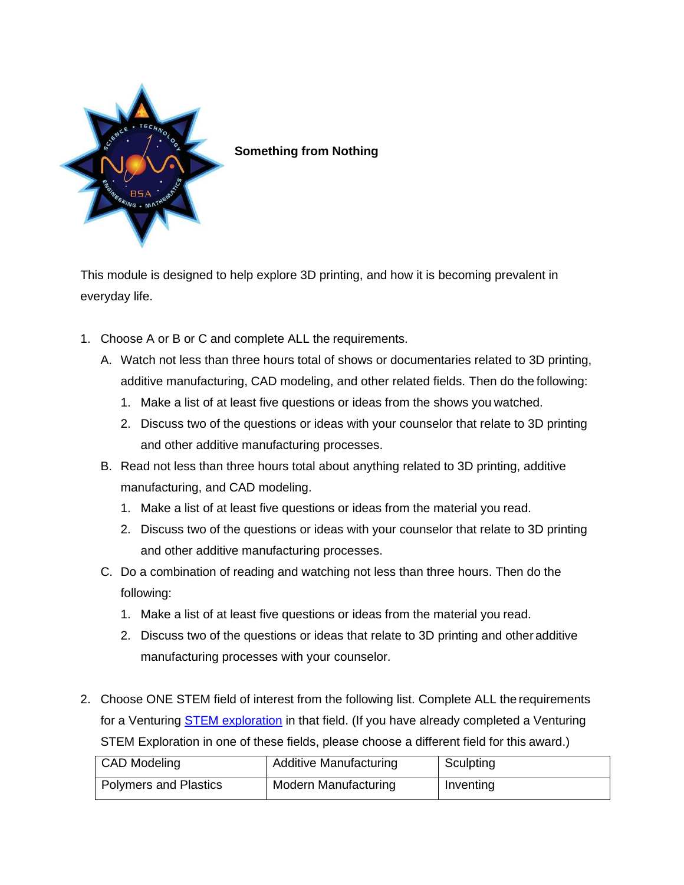

## **Something from Nothing**

This module is designed to help explore 3D printing, and how it is becoming prevalent in everyday life.

- 1. Choose A or B or C and complete ALL the requirements.
	- A. Watch not less than three hours total of shows or documentaries related to 3D printing, additive manufacturing, CAD modeling, and other related fields. Then do the following:
		- 1. Make a list of at least five questions or ideas from the shows you watched.
		- 2. Discuss two of the questions or ideas with your counselor that relate to 3D printing and other additive manufacturing processes.
	- B. Read not less than three hours total about anything related to 3D printing, additive manufacturing, and CAD modeling.
		- 1. Make a list of at least five questions or ideas from the material you read.
		- 2. Discuss two of the questions or ideas with your counselor that relate to 3D printing and other additive manufacturing processes.
	- C. Do a combination of reading and watching not less than three hours. Then do the following:
		- 1. Make a list of at least five questions or ideas from the material you read.
		- 2. Discuss two of the questions or ideas that relate to 3D printing and other additive manufacturing processes with your counselor.
- 2. Choose ONE STEM field of interest from the following list. Complete ALL the requirements for a Venturing [STEM exploration](http://www.bsastemresources.com/uploads/8/4/7/7/8477978/venturing_stem_exploration_plan_and_chacklist.pdf#:~:text=Plan%20and%20Checklist%20.%20Developing%20Knowledge%20.%20Do,visit%2C%20discuss%20the%20following%20with%20your%20counselor%2Fmentor%3A%20A) in that field. (If you have already completed a Venturing STEM Exploration in one of these fields, please choose a different field for this award.)

| <b>CAD Modeling</b>          | <b>Additive Manufacturing</b> | Sculpting |
|------------------------------|-------------------------------|-----------|
| <b>Polymers and Plastics</b> | <b>Modern Manufacturing</b>   | Inventing |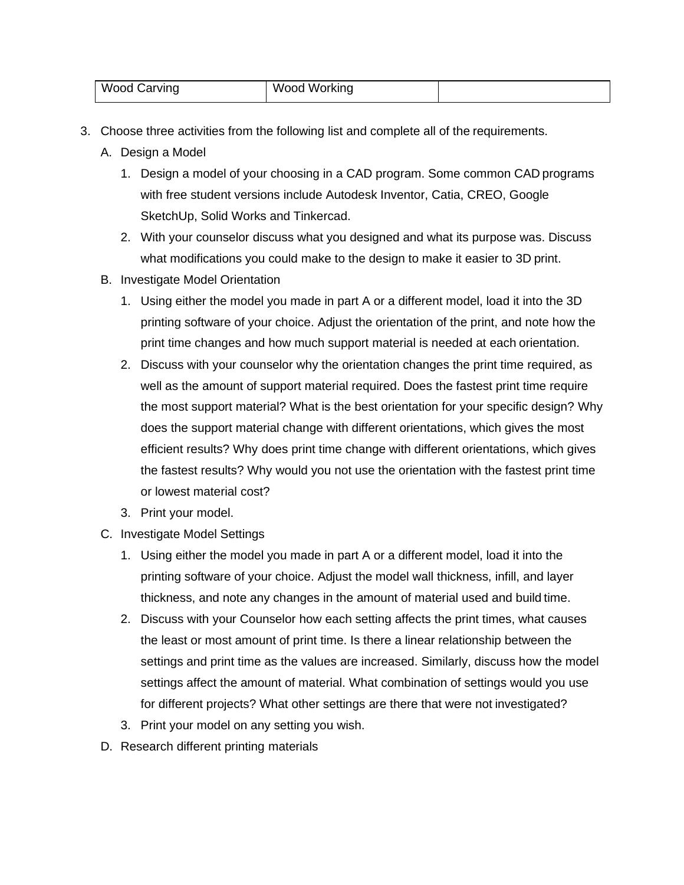| Wood Carving | Wood<br>Working |  |
|--------------|-----------------|--|
|--------------|-----------------|--|

- 3. Choose three activities from the following list and complete all of the requirements.
	- A. Design a Model
		- 1. Design a model of your choosing in a CAD program. Some common CAD programs with free student versions include Autodesk Inventor, Catia, CREO, Google SketchUp, Solid Works and Tinkercad.
		- 2. With your counselor discuss what you designed and what its purpose was. Discuss what modifications you could make to the design to make it easier to 3D print.
	- B. Investigate Model Orientation
		- 1. Using either the model you made in part A or a different model, load it into the 3D printing software of your choice. Adjust the orientation of the print, and note how the print time changes and how much support material is needed at each orientation.
		- 2. Discuss with your counselor why the orientation changes the print time required, as well as the amount of support material required. Does the fastest print time require the most support material? What is the best orientation for your specific design? Why does the support material change with different orientations, which gives the most efficient results? Why does print time change with different orientations, which gives the fastest results? Why would you not use the orientation with the fastest print time or lowest material cost?
		- 3. Print your model.
	- C. Investigate Model Settings
		- 1. Using either the model you made in part A or a different model, load it into the printing software of your choice. Adjust the model wall thickness, infill, and layer thickness, and note any changes in the amount of material used and build time.
		- 2. Discuss with your Counselor how each setting affects the print times, what causes the least or most amount of print time. Is there a linear relationship between the settings and print time as the values are increased. Similarly, discuss how the model settings affect the amount of material. What combination of settings would you use for different projects? What other settings are there that were not investigated?
		- 3. Print your model on any setting you wish.
	- D. Research different printing materials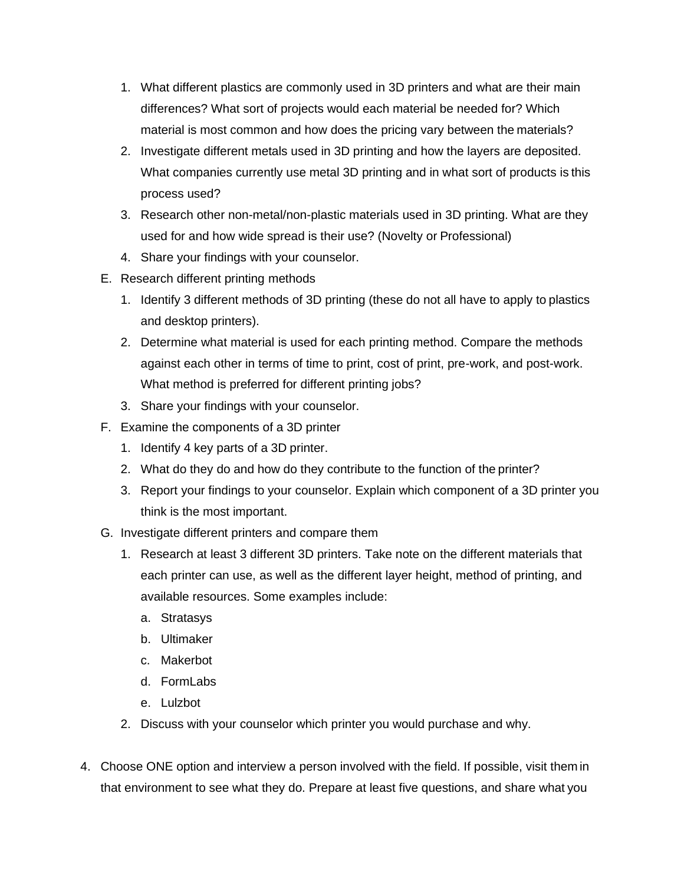- 1. What different plastics are commonly used in 3D printers and what are their main differences? What sort of projects would each material be needed for? Which material is most common and how does the pricing vary between the materials?
- 2. Investigate different metals used in 3D printing and how the layers are deposited. What companies currently use metal 3D printing and in what sort of products is this process used?
- 3. Research other non-metal/non-plastic materials used in 3D printing. What are they used for and how wide spread is their use? (Novelty or Professional)
- 4. Share your findings with your counselor.
- E. Research different printing methods
	- 1. Identify 3 different methods of 3D printing (these do not all have to apply to plastics and desktop printers).
	- 2. Determine what material is used for each printing method. Compare the methods against each other in terms of time to print, cost of print, pre-work, and post-work. What method is preferred for different printing jobs?
	- 3. Share your findings with your counselor.
- F. Examine the components of a 3D printer
	- 1. Identify 4 key parts of a 3D printer.
	- 2. What do they do and how do they contribute to the function of the printer?
	- 3. Report your findings to your counselor. Explain which component of a 3D printer you think is the most important.
- G. Investigate different printers and compare them
	- 1. Research at least 3 different 3D printers. Take note on the different materials that each printer can use, as well as the different layer height, method of printing, and available resources. Some examples include:
		- a. Stratasys
		- b. Ultimaker
		- c. Makerbot
		- d. FormLabs
		- e. Lulzbot
	- 2. Discuss with your counselor which printer you would purchase and why.
- 4. Choose ONE option and interview a person involved with the field. If possible, visit them in that environment to see what they do. Prepare at least five questions, and share what you